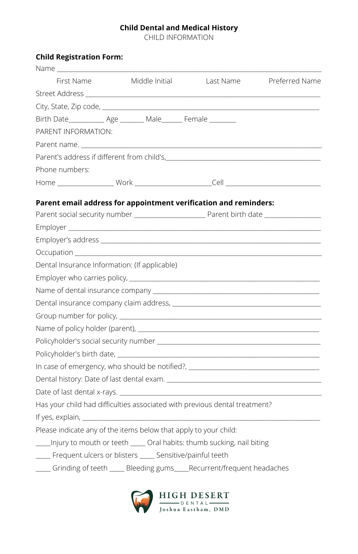#### **Child Dental and Medical History**

CHILD INFORMATION

### **Child Registration Form:**

| Name and the second service of the series of the series of the series of the series of the series of the series                                                                                                                |                |           |                |
|--------------------------------------------------------------------------------------------------------------------------------------------------------------------------------------------------------------------------------|----------------|-----------|----------------|
| First Name                                                                                                                                                                                                                     | Middle Initial | Last Name | Preferred Name |
|                                                                                                                                                                                                                                |                |           |                |
|                                                                                                                                                                                                                                |                |           |                |
|                                                                                                                                                                                                                                |                |           |                |
| PARENT INFORMATION:                                                                                                                                                                                                            |                |           |                |
|                                                                                                                                                                                                                                |                |           |                |
|                                                                                                                                                                                                                                |                |           |                |
| Phone numbers:                                                                                                                                                                                                                 |                |           |                |
|                                                                                                                                                                                                                                |                |           |                |
|                                                                                                                                                                                                                                |                |           |                |
| Parent email address for appointment verification and reminders:                                                                                                                                                               |                |           |                |
|                                                                                                                                                                                                                                |                |           |                |
|                                                                                                                                                                                                                                |                |           |                |
|                                                                                                                                                                                                                                |                |           |                |
|                                                                                                                                                                                                                                |                |           |                |
| Dental Insurance Information: (If applicable)                                                                                                                                                                                  |                |           |                |
|                                                                                                                                                                                                                                |                |           |                |
| Name of dental insurance company and the state of the state of the state of the state of the state of the state of the state of the state of the state of the state of the state of the state of the state of the state of the |                |           |                |
|                                                                                                                                                                                                                                |                |           |                |
|                                                                                                                                                                                                                                |                |           |                |
|                                                                                                                                                                                                                                |                |           |                |
|                                                                                                                                                                                                                                |                |           |                |
|                                                                                                                                                                                                                                |                |           |                |
| In case of emergency, who should be notified?, _________________________________                                                                                                                                               |                |           |                |
|                                                                                                                                                                                                                                |                |           |                |
|                                                                                                                                                                                                                                |                |           |                |
| Has your child had difficulties associated with previous dental treatment?                                                                                                                                                     |                |           |                |
|                                                                                                                                                                                                                                |                |           |                |
| Please indicate any of the items below that apply to your child:                                                                                                                                                               |                |           |                |
| ____Injury to mouth or teeth _____ Oral habits: thumb sucking, nail biting                                                                                                                                                     |                |           |                |
| ____ Frequent ulcers or blisters ____ Sensitive/painful teeth                                                                                                                                                                  |                |           |                |
| ____ Grinding of teeth ____ Bleeding gums____ Recurrent/frequent headaches                                                                                                                                                     |                |           |                |